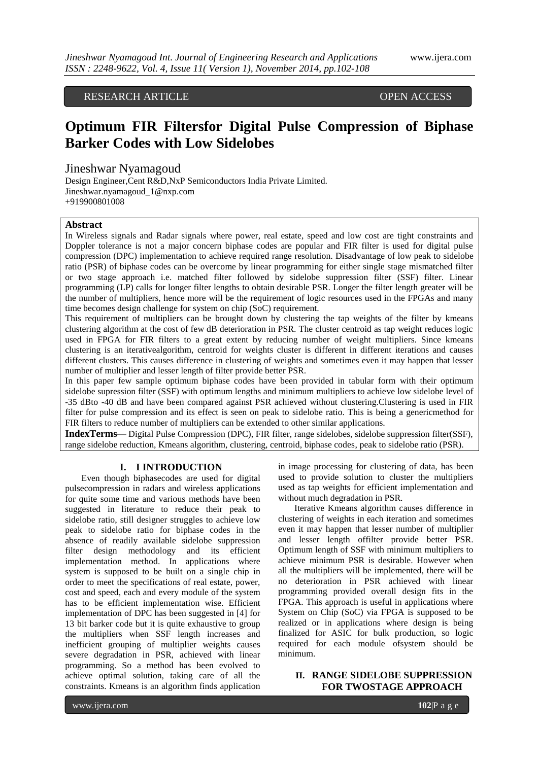RESEARCH ARTICLE OPEN ACCESS

# **Optimum FIR Filtersfor Digital Pulse Compression of Biphase Barker Codes with Low Sidelobes**

Jineshwar Nyamagoud

Design Engineer,Cent R&D,NxP Semiconductors India Private Limited. [Jineshwar.nyamagoud\\_1@nxp.com](mailto:Jineshwar.nyamagoud_1@nxp.com) +919900801008

## **Abstract**

In Wireless signals and Radar signals where power, real estate, speed and low cost are tight constraints and Doppler tolerance is not a major concern biphase codes are popular and FIR filter is used for digital pulse compression (DPC) implementation to achieve required range resolution. Disadvantage of low peak to sidelobe ratio (PSR) of biphase codes can be overcome by linear programming for either single stage mismatched filter or two stage approach i.e. matched filter followed by sidelobe suppression filter (SSF) filter. Linear programming (LP) calls for longer filter lengths to obtain desirable PSR. Longer the filter length greater will be the number of multipliers, hence more will be the requirement of logic resources used in the FPGAs and many time becomes design challenge for system on chip (SoC) requirement.

This requirement of multipliers can be brought down by clustering the tap weights of the filter by kmeans clustering algorithm at the cost of few dB deterioration in PSR. The cluster centroid as tap weight reduces logic used in FPGA for FIR filters to a great extent by reducing number of weight multipliers. Since kmeans clustering is an iterativealgorithm, centroid for weights cluster is different in different iterations and causes different clusters. This causes difference in clustering of weights and sometimes even it may happen that lesser number of multiplier and lesser length of filter provide better PSR.

In this paper few sample optimum biphase codes have been provided in tabular form with their optimum sidelobe supression filter (SSF) with optimum lengths and minimum multipliers to achieve low sidelobe level of -35 dBto -40 dB and have been compared against PSR achieved without clustering.Clustering is used in FIR filter for pulse compression and its effect is seen on peak to sidelobe ratio. This is being a genericmethod for FIR filters to reduce number of multipliers can be extended to other similar applications.

**IndexTerms**— Digital Pulse Compression (DPC), FIR filter, range sidelobes, sidelobe suppression filter(SSF), range sidelobe reduction, Kmeans algorithm, clustering, centroid, biphase codes, peak to sidelobe ratio (PSR).

## **I. I INTRODUCTION**

Even though biphasecodes are used for digital pulsecompression in radars and wireless applications for quite some time and various methods have been suggested in literature to reduce their peak to sidelobe ratio, still designer struggles to achieve low peak to sidelobe ratio for biphase codes in the absence of readily available sidelobe suppression filter design methodology and its efficient implementation method. In applications where system is supposed to be built on a single chip in order to meet the specifications of real estate, power, cost and speed, each and every module of the system has to be efficient implementation wise. Efficient implementation of DPC has been suggested in [4] for 13 bit barker code but it is quite exhaustive to group the multipliers when SSF length increases and inefficient grouping of multiplier weights causes severe degradation in PSR, achieved with linear programming. So a method has been evolved to achieve optimal solution, taking care of all the constraints. Kmeans is an algorithm finds application

in image processing for clustering of data, has been used to provide solution to cluster the multipliers used as tap weights for efficient implementation and without much degradation in PSR.

Iterative Kmeans algorithm causes difference in clustering of weights in each iteration and sometimes even it may happen that lesser number of multiplier and lesser length offilter provide better PSR. Optimum length of SSF with minimum multipliers to achieve minimum PSR is desirable. However when all the multipliers will be implemented, there will be no deterioration in PSR achieved with linear programming provided overall design fits in the FPGA. This approach is useful in applications where System on Chip (SoC) via FPGA is supposed to be realized or in applications where design is being finalized for ASIC for bulk production, so logic required for each module ofsystem should be minimum.

# **II. RANGE SIDELOBE SUPPRESSION FOR TWOSTAGE APPROACH**

www.ijera.com **102**|P a g e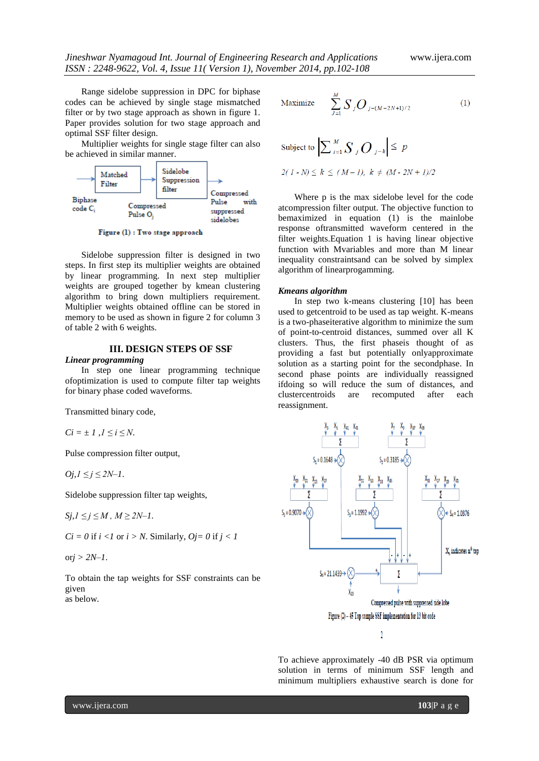Range sidelobe suppression in DPC for biphase codes can be achieved by single stage mismatched filter or by two stage approach as shown in figure 1. Paper provides solution for two stage approach and optimal SSF filter design.

Multiplier weights for single stage filter can also be achieved in similar manner.



Figure (1) : Two stage approach

Sidelobe suppression filter is designed in two steps. In first step its multiplier weights are obtained by linear programming. In next step multiplier weights are grouped together by kmean clustering algorithm to bring down multipliers requirement. Multiplier weights obtained offline can be stored in memory to be used as shown in figure 2 for column 3 of table 2 with 6 weights.

# **III. DESIGN STEPS OF SSF**

#### *Linear programming*

In step one linear programming technique ofoptimization is used to compute filter tap weights for binary phase coded waveforms.

Transmitted binary code,

 $Ci = \pm 1, J \le i \le N$ .

Pulse compression filter output,

 $Oj, l ≤ j ≤ 2N-1$ .

Sidelobe suppression filter tap weights,

 $Sj, l \leq j \leq M$ ,  $M \geq 2N-1$ .

 $Ci = 0$  if  $i < 1$  or  $i > N$ . Similarly,  $Oj = 0$  if  $j < 1$ 

or*j > 2N–1*.

To obtain the tap weights for SSF constraints can be given as below.

Maximize 
$$
\sum_{J=1}^{M} S_j O_{j-(M-2N+1)/2}
$$
 (1)

Subject to  $\left|\sum_{i=1}^{M} \sum_{j} O_{j-k}\right| \leq p$ 

$$
2(l - N) \le k \le (M - l), k \ne (M - 2N + l)/2
$$

Where p is the max sidelobe level for the code atcompression filter output. The objective function to bemaximized in equation (1) is the mainlobe response oftransmitted waveform centered in the filter weights.Equation 1 is having linear objective function with Mvariables and more than M linear inequality constraintsand can be solved by simplex algorithm of linearprogamming.

#### *Kmeans algorithm*

In step two k-means clustering [10] has been used to getcentroid to be used as tap weight. K-means is a two-phaseiterative algorithm to minimize the sum of point-to-centroid distances, summed over all K clusters. Thus, the first phaseis thought of as providing a fast but potentially onlyapproximate solution as a starting point for the secondphase. In second phase points are individually reassigned ifdoing so will reduce the sum of distances, and clustercentroids are recomputed after each reassignment.



To achieve approximately -40 dB PSR via optimum solution in terms of minimum SSF length and minimum multipliers exhaustive search is done for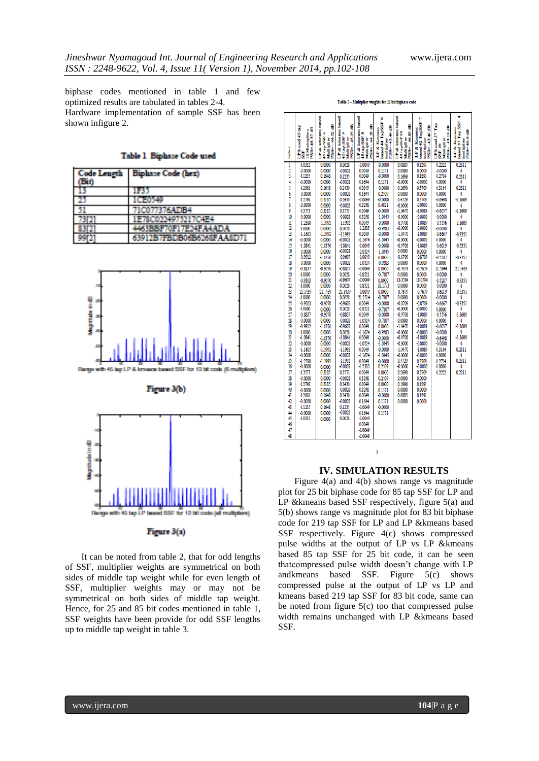biphase codes mentioned in table 1 and few optimized results are tabulated in tables 2-4. Hardware implementation of sample SSF has been shown infigure 2.

Table 1 Binhase Code used

| <b>Code Length</b><br>(Bin) | <b>Biphase Code (hex)</b>    |
|-----------------------------|------------------------------|
| 13                          | 1135                         |
| 25                          | IGFO 49                      |
| 51                          | 71C077376ADB4                |
| 73121                       | 1E78C0224975217C4E4          |
| 83 P.T                      | <b>4463BEF70F17E24FA4ADA</b> |
| 9912                        | 63912B7FBDB06B6268FAA8D71    |





It can be noted from table 2, that for odd lengths of SSF, multiplier weights are symmetrical on both sides of middle tap weight while for even length of SSF, multiplier weights may or may not be symmetrical on both sides of middle tap weight. Hence, for 25 and 85 bit codes mentioned in table 1, SSF weights have been provide for odd SSF lengths up to middle tap weight in table 3.

|          |                                                |                                              | & kneams based                         | based                                                   | 9Ò                                            | & knocams based                         | ь                                                  |                                   |                                                     |
|----------|------------------------------------------------|----------------------------------------------|----------------------------------------|---------------------------------------------------------|-----------------------------------------------|-----------------------------------------|----------------------------------------------------|-----------------------------------|-----------------------------------------------------|
|          |                                                | kame ams based<br>뜪                          | €                                      | ₩                                                       | based 44 TapSSF                               | €                                       | based 42 TapSSF                                    | LP based 37 Tap                   | based 37 Tap SSF                                    |
|          | €                                              | ¢,<br>ø                                      | ø,                                     | w                                                       |                                               |                                         |                                                    |                                   |                                                     |
|          |                                                |                                              |                                        |                                                         |                                               |                                         |                                                    |                                   |                                                     |
|          | LP based 45 tap<br>12 Muitipliers<br>PSR-48.37 | 45 tap SSF<br>PSR--44<br><b>Musicipality</b> | PSR--45.19<br>45 tap SSF<br>Multiplier | LP & kneeans<br>PSR-44.35<br>48 tap SSF<br>Musicipal or | PSR--43.48<br>LP & Kineses<br>moul tipel iver | 42tapSSF10<br>PSR-46.83<br>Musicipal or | <b>PSR-1346</b><br>LP & Kinesns<br>mual tipel iver | PSR--43.13 dB<br>Music in the cre | LP & Kmeans<br>PSR-40.0 dB<br>mount triped iver     |
| İ        |                                                | ų                                            |                                        |                                                         |                                               |                                         |                                                    | SSF <sub>10</sub>                 |                                                     |
|          | à                                              | Ś                                            | Š                                      |                                                         |                                               | Š                                       |                                                    |                                   |                                                     |
| Ī        | 0.0332                                         | 0.0000                                       | 0.0028                                 | $-0.0049$                                               | $-0.0000$                                     | 0.0885                                  | 0.1291                                             | 0.2222                            | 0.2811                                              |
| 3        | $-0.0000$                                      | 0.0000                                       | $-0.0028$                              | 0.0049                                                  | 0.1371                                        | 0.0000                                  | 0.0000<br>0.1291                                   | $-0.0000$                         | 0                                                   |
|          | 0.1235                                         | 0.1648                                       | 0.1235                                 |                                                         | $-0.0000$                                     | 0.1696                                  |                                                    | 0.2724                            | 0.2811                                              |
| 4        | $-0.0000$                                      | 0.0000                                       | $-0.0028$                              | 0.1694                                                  | 0.1371                                        | $-0.0000$                               | $-0.0000$                                          | 0.0000                            | Ö                                                   |
| 5        | 0.2061                                         | 0.1648                                       | 0.2430                                 | 0.0049                                                  | 0.0000                                        | 0.2690                                  | 0.3709                                             | 0.3164                            | 0.2811                                              |
| 6<br>Ī   | $-0.0000$<br>0.2798                            | 0.0000<br>0.3185                             | $-0.0028$<br>0.2430                    | 0.1694<br>$-0.0049$                                     | 0.2509<br>$-0.0000$                           | 0.0000<br>0.4729                        | 0.0000<br>0.3709                                   | 0.0000<br>$-0.6498$               | 0<br>$-1.1609$                                      |
| 8        | $-0.0000$                                      | 0.0000                                       | $-0.0028$                              | 0.3298                                                  | 0.4821                                        | $-0.0000$                               | $-0.0000$                                          | 0.0000                            | 0                                                   |
| 9        | 0.3573                                         | 0.3185                                       | 0.3573                                 | 0.0049                                                  | $-0.0000$                                     | $-1.0470$                               | $-1.0089$                                          | $-0.6057$                         | $-1.1609$                                           |
| 10       | $-0.0000$                                      | 0.0000                                       | $-0.0028$                              | 0.3298                                                  | $-1.0345$                                     | $-0.0000$                               | $-0.0000$                                          | $-0.0000$                         | Ō                                                   |
| n        | $-1.2380$                                      | $-1.1992$                                    | $-1.1992$                              | 0.0049                                                  | $-0.0000$                                     | -0.9708                                 | $-1.0089$                                          | $-0.5556$                         | $-1.1609$                                           |
| 12       | 0.0000                                         | 0.0000                                       | 0.0028                                 | $-1.2383$                                               | -0.9283                                       | $-0.0000$                               | $-0.0000$                                          | $-0.0000$                         | 0                                                   |
| 13       | $-1.1605$                                      | $-1.1992$                                    | $-1.1992$                              | 0.0049                                                  | $-0.0000$                                     | $-1.0470$                               | $-1.0089$                                          | $-0.6667$                         | $-0.9351$                                           |
| 14       | $-0.0000$                                      | 0.0000                                       | $-0.0028$                              | $-1.1674$                                               | $-1.0345$                                     | $-0.0000$                               | $-0.0000$                                          | 0.0000                            | 0                                                   |
| 15<br>16 | $-1.0841$                                      | $-1.0376$                                    | $-1.0841$                              | $-0.0049$                                               | $-0.0000$                                     | $-0.9706$                               | $-1.0089$                                          | $-0.6019$                         | $-0.9351$                                           |
| 17       | $-0.0000$<br>$-0.9912$                         | 0.0000<br>$-1.0376$                          | $-0.0028$<br>$-0.9607$                 | $-1.0524$<br>$-0.0049$                                  | $-1.0345$<br>0.0000                           | 0.0000<br>$-0.8709$                     | 0.0000<br>$-0.8709$                                | 0.0000<br>$-0.5287$               | 0<br>$-0.9351$                                      |
| 18       | $-0.0000$                                      | 0.0000                                       | $-0.0028$                              | $-1.0524$                                               | $-0.9283$                                     | 0.0000                                  | 0.0000                                             | 0.0000                            | 0                                                   |
| 19       | $-0.8837$                                      | $-0.9070$                                    | $-0.8837$                              | $-0.0019$                                               | 0.0000                                        | $-0.7679$                               | $-0.7679$                                          | 11.5944                           | 21.1439                                             |
| 20       | 0.0000                                         | 0.0000                                       | 0.0028                                 | $-0.8521$                                               | $-0.7807$                                     | 0.0000                                  | 0.0000                                             | $-0.0000$                         | 0                                                   |
| 21       | $-0.9303$                                      | 0.9070                                       | $-0.9607$                              | $-0.0019$                                               | 0.0000                                        | 18.0584                                 | 18.0584                                            | $-0.5287$                         | $-0.9351$                                           |
| 22       | 0.0000                                         | 0.0000                                       | 0.0028                                 | $-0.8521$                                               | 18.1773                                       | 0.0000                                  | 0.0000                                             | $-0.0000$                         | 0                                                   |
| 23       | 21.1439                                        | 21.1439                                      | 21.1439                                | $-0.0049$                                               | 0.0000                                        | $-0.7679$                               | $-0.7679$                                          | $-0.6019$                         | $-0.9351$                                           |
| 24       | 0.0000                                         | 0.0000                                       | 0.0028                                 | 21.2314                                                 | $-0.7807$                                     | 0.0000                                  | 0.0000                                             | $-0.0000$                         | 0                                                   |
| 25<br>26 | $-0.9303$<br>0.0000                            | $-0.9070$                                    | $-0.9607$<br>0.0028                    | 0.0049<br>$-0.8521$                                     | $-0.0000$                                     | $-0.8709$<br>$-0.0000$                  | $-0.8709$<br>$-0.0000$                             | $-0.6667$                         | $-0.9351$<br>0                                      |
| 27       | $-0.8837$                                      | 0.0000<br>$-0.9070$                          | $-0.8837$                              | 0.0049                                                  | $-0.7807$<br>$-0.0000$                        | $-0.9708$                               | $-1.0089$                                          | 0.0000<br>$-0.5556$               | $-1.1609$                                           |
| 28       | $-0.0000$                                      | 0.0000                                       | $-0.0028$                              | $-1.0524$                                               | 0.7807                                        | 0.0000                                  | 0.0000                                             | 0.0000                            | O                                                   |
| 29       | -0.9912                                        | $-1.0376$                                    | -0.9607                                | 0.0049                                                  | 0.0000                                        | $-1.0470$                               | $-1.0089$                                          | $-0.6057$                         | $-1.1609$                                           |
| 30       | 0.0000                                         | 0.0000                                       | 0.0028                                 | $-1.1674$                                               | -0.9283                                       | $-0.0000$                               | $-0.0000$                                          | $-0.0000$                         | 0                                                   |
| 31       | $-1.0841$                                      | $-1.0376$                                    | $-1.0841$                              | 0.0049                                                  | $-0.0000$                                     | $-0.9708$                               | $-1.0089$                                          | $-0.6498$                         | $-1.1609$                                           |
| 32       | $-0.0000$                                      | 0.0000                                       | $-0.0028$                              | $-1.0524$                                               |                                               | $-0.0000$                               | $-0.0000$                                          | $-0.0000$                         | 0                                                   |
| 33       | $-1.1605$                                      | $-1.1992$                                    | $-1.1992$                              | 0.0049                                                  | $-0.0000$                                     | $-1.0470$                               | $-1.0089$                                          | 0.3164                            | 0.2811                                              |
| 34       | $-0.0000$                                      | 0.0000                                       | $-0.0028$                              | $-1.1674$                                               | $-1.0345$                                     | $-0.0000$<br>0.4729                     | $-0.0000$                                          | 0.0000                            | $\begin{smallmatrix} 0 \ 0.2811 \end{smallmatrix}$  |
| 35<br>36 | $-1.2380$<br>$-0.0000$                         | $-1.1992$                                    | $-1.1992$<br>$-0.0028$                 | 0.0049<br>$-1.2383$                                     | -0.0000<br>0.2509                             | $-0.0000$                               | 0.3709<br>$-0.0000$                                | 0.2724<br>0.0000                  |                                                     |
| 37       | 0.3573                                         | 0.0000<br>0.3185                             | 0.3573                                 | 0.0049                                                  | 0.0000                                        | 0.2690                                  | 0.3709                                             | 0.2222                            | $\begin{smallmatrix} 0 \\ 0.2811 \end{smallmatrix}$ |
| 38       | $-0.0000$                                      | 0.0000                                       | $-0.0028$                              | 0.3298                                                  | 0.2509                                        | 0.0000                                  | 0.0000                                             |                                   |                                                     |
| 39       | 0.2798                                         | 0.3185                                       | 0.2430                                 | 0.0049                                                  | 0.0000                                        | 0.1696                                  | 0.1291                                             |                                   |                                                     |
| 40       | $-0.0000$                                      | 0.0000                                       | $-0.0028$                              | 0.3298                                                  | 0.1371                                        | 0.0000                                  | 0.0000                                             |                                   |                                                     |
| 41       | 0.2061                                         | 0.1648                                       | 0.2430                                 | 0.0049                                                  | $-0.0000$                                     | 0.0885                                  | 0.1291                                             |                                   |                                                     |
| 42       | $-0.0000$                                      | 0.0000                                       | $-0.0028$                              | 0.1694                                                  | 0.1371                                        | 0.0000                                  | 0.0000                                             |                                   |                                                     |
| 43       | 0.1235                                         | 0.1648                                       | 0.1235                                 | $-0.0019$                                               | $-0.0000$                                     |                                         |                                                    |                                   |                                                     |
| 44<br>45 | $-0.0000$<br>0.0332                            | 0.0000                                       | $-0.0028$<br>0.0028                    | 0.1694<br>$-0.0049$                                     | 0.1371                                        |                                         |                                                    |                                   |                                                     |
| 46       |                                                | 0.0000                                       |                                        | 0.0049                                                  |                                               |                                         |                                                    |                                   |                                                     |
| 47       |                                                |                                              |                                        | $-0.0049$                                               |                                               |                                         |                                                    |                                   |                                                     |
| 48       |                                                |                                              |                                        | $-0.0049$                                               |                                               |                                         |                                                    |                                   |                                                     |

Table 2 - Multiplier weights for 13 bit biphase code

# **IV. SIMULATION RESULTS**

 $\overline{a}$ 

Figure 4(a) and 4(b) shows range vs magnitude plot for 25 bit biphase code for 85 tap SSF for LP and LP & kmeans based SSF respectively, figure 5(a) and 5(b) shows range vs magnitude plot for 83 bit biphase code for 219 tap SSF for LP and LP &kmeans based SSF respectively. Figure 4(c) shows compressed pulse widths at the output of LP vs LP &kmeans based 85 tap SSF for 25 bit code, it can be seen thatcompressed pulse width doesn't change with LP andkmeans based SSF. Figure 5(c) shows compressed pulse at the output of LP vs LP and kmeans based 219 tap SSF for 83 bit code, same can be noted from figure 5(c) too that compressed pulse width remains unchanged with LP &kmeans based SSF.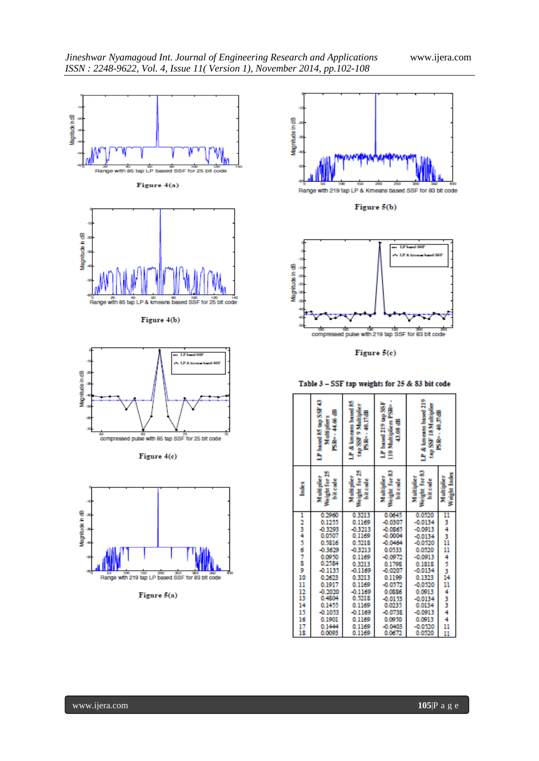



|              | 07.555.08 peerl 07.<br>€<br>alt parts<br>4.66<br>ė<br>z | LP & km cans based 85<br>€<br>Ş<br>z<br>ė<br>iss and | based 219 tap SS<br>Ž<br><b>Control</b><br>€<br>8<br>₫<br>Î<br>È | LP & km cans based 219<br><b>N 81 RSS day</b> | €<br>5<br>ė      |
|--------------|---------------------------------------------------------|------------------------------------------------------|------------------------------------------------------------------|-----------------------------------------------|------------------|
| <b>Index</b> | į                                                       | į                                                    |                                                                  | š<br>š<br>Weight<br>Ë                         | ļ<br><b>Sept</b> |
|              | 0.2960                                                  | 0.3213                                               | 0.0645                                                           | 0.0520                                        | п                |
| 123456789    | 0.1255                                                  | 0.1169                                               | $-0.0307$                                                        | $-0.0134$                                     | 3                |
|              | -0.3293                                                 | $-0.3213$                                            | $-0.0865$                                                        | $-0.0913$                                     | 4                |
|              | 0.0507                                                  | 0.1169                                               | $-0.0004$                                                        | $-0.0134$                                     | 3                |
|              | 0.5816                                                  | 0.5218                                               | $-0.0464$                                                        | $-0.0520$                                     | ñ                |
|              | $-0.3629$                                               | 0.3213                                               | 0.0533                                                           | 0.0520                                        | n                |
|              | 0.0950                                                  | 0.1169                                               | $-0.0972$                                                        | $-0.0913$                                     | 4<br>3<br>3      |
|              | 0.2584                                                  | 0.3213<br>$-0.1169$                                  | 0.1798                                                           | 0.1818                                        |                  |
| 10           | $-0.1135$<br>0.2623                                     | 0.3213                                               | $-0.0207$<br>0.1199                                              | $-0.0134$<br>0.1323                           | 14               |
| 11           | 0.1917                                                  | 0.1169                                               | $-0.0572$                                                        | $-0.0520$                                     | 11               |
| 12           | $-0.2020$                                               | $-0.1169$                                            | 0.0886                                                           | 0.0913                                        | 4                |
| ï3           | 0.4804                                                  | 0.5218                                               | $-0.0153$                                                        | $-0.0134$                                     |                  |
| 14           | 0.1455                                                  | 0.1169                                               | 0.0235                                                           | 0.0134                                        | 3                |
| 15           | $-0.1053$                                               | $-0.1169$                                            | $-0.0738$                                                        | $-0.0913$                                     |                  |
| 16           | 0.1901                                                  | 0.1169                                               | 0.0950                                                           | 0.0913                                        | $\frac{4}{4}$    |
|              | 0.1444                                                  | 0.1169                                               | $-0.0403$                                                        | $-0.0520$                                     |                  |
| $_{18}^{17}$ | 0.0093                                                  | 0.1169                                               | 0.0672                                                           | 0.0520                                        | 11<br>11         |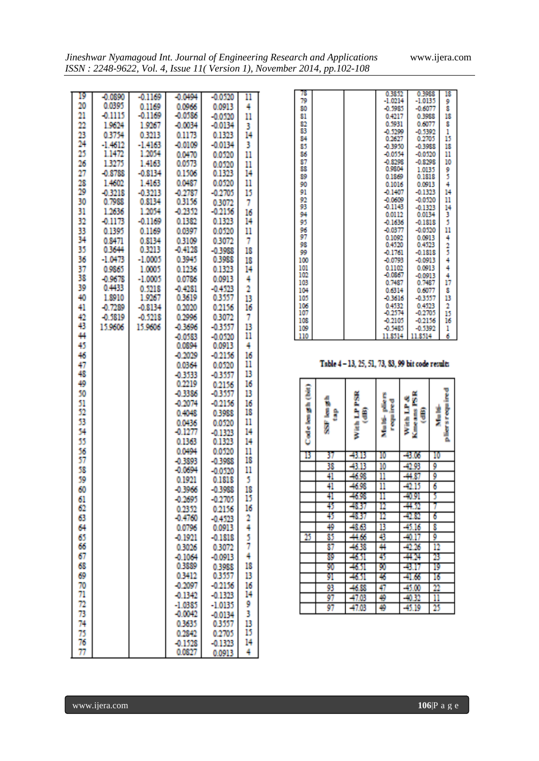| 19       | $-0.0890$         | $-0.1169$           | -0.0494             | -00530               | 11       |
|----------|-------------------|---------------------|---------------------|----------------------|----------|
| 20<br>21 | 0.0395<br>-0.1115 | 0.1169<br>$-0.1169$ | 0.0966<br>-0.0586   | 0.0913               | 4        |
| 22       | 19624             | 1.9967              | -0.0034             | $-0.0520$<br>-0.0134 | 11       |
| 23       | 03754             | 0.3213              | 0 1 1 7 X           | 0.1323               | 3<br>14  |
| 24       | $-1.4612$         | $-1.4163$           | 0.0109              | -0.0134              | 3        |
| 25       | 1.1472            | 1.2054              | 0.0470              | 0,0520               | 11       |
| 26       | 1.3275            | 1.4163              | 0.0573              | 0.0520               | 11       |
| 27       | $-0.8788$         | -08134              | 0.1505              | 0.1323               | 14       |
| 28       | 1.4602            | 1.4163              | 0.0487              | 0.0520               | 11       |
| 29       | -03218            | -03213              | -0.2787             | $-0.2705$            | 15       |
| 30       | 0.7988            | 0 KI 14             | 03156               | 0.3072               | 7        |
| 31       | 1.2636            | 1.2054              | $-0.2352$           | -02156               | 16       |
| 32       | $-0.1173$         | $-0.1169$           | 0.1382              | 0.1323               | 14       |
| 33<br>34 | 01395<br>0.8471   | 0.1169<br>0.8134    | 0.0397<br>0.3109    | 0,0520<br>0.3072     | 11<br>7  |
| 35       | 0.3644            | 0.3213              | 0.4128              | -0.3988              | 18       |
| 36       | $-1.0473$         | $-1.0005$           | 0.3945              | 0.3988               | 18       |
| 37       | 0.9865            | 1.0005              | 0.1236              | 0.1323               | 14       |
| 38       | $-0.9678$         | $-1.0005$           | 0.0786              | 0.0913               | 4        |
| 39       | 0.4433            | 0.5918              | $-0.4281$           | $-0.4523$            | 2        |
| 40       | 1,8910            | 1.9967              | 03619               | 03337                | в        |
| 41       | $-0.7289$         | $-0.8134$           | O MIXO              | 02156                | 16       |
| 42       | -0.3819           | -0.5218             | 0.2995              | 0.3072               | 7        |
| 43       | 15 9606           | 15.9606             | 0.3696              | $-0.3557$            | 13       |
| 44<br>45 |                   |                     | $-0.0583$<br>0.0894 | -00530<br>0.0913     | 11<br>4  |
| 46       |                   |                     | $-0.2029$           | -02156               | 16       |
| 47       |                   |                     | 0.0364              | 0,0520               | 11       |
| 48       |                   |                     | -03533              | -03557               | 13       |
| 49       |                   |                     | 0.2219              | 02156                | 16       |
| 50       |                   |                     | -0.3386             | $-0.3557$            | 13       |
| 51       |                   |                     | $-0.2074$           | -0.2156              | 16       |
| 52       |                   |                     | 0.4048              | 0.3988               | 18       |
| 53       |                   |                     | 0.0436              | 0.0520               | 11       |
| 54       |                   |                     | $-0.1277$           | -0.1323              | 14       |
| 55<br>56 |                   |                     | 0.1363<br>0.0494    | 0.1323               | 14       |
| 57       |                   |                     | -0.3893             | 0.0320<br>-0-1988    | 11<br>18 |
| 58       |                   |                     | -0.0694             | -00320               | 11       |
| 50       |                   |                     | 0.1921              | 0.1818               | 5        |
| 60       |                   |                     | $-0.3966$           | -0.3988              | 18       |
| 61       |                   |                     | 0.2695              | $-0.2705$            | 15       |
| 62       |                   |                     | 0.2352              | 0.2156               | 16       |
| 63       |                   |                     | $-0.4760$           | $-0.4523$            | 2        |
| 64       |                   |                     | 0.0796              | 0.0913               | 4        |
| 65       |                   |                     | -0.1971             | -01818               | 5<br>7   |
| 66<br>67 |                   |                     | 0.3026              | 0.3072               | 4        |
| 68       |                   |                     | -01064<br>0 1889    | $-0.0913$<br>0.3988  | 18       |
| 69       |                   |                     | 0.3412              | 0.3557               | 13       |
| 70       |                   |                     | $-0.2097$           | 0.2156               | 16       |
| 71       |                   |                     | $-0.1342$           | -0.1323              | 14       |
| 72       |                   |                     | $-1.0385$           | -1.0135              | 9        |
| 73       |                   |                     | $-0.0042$           | -0.0134              | 3        |
| 74       |                   |                     | 03635               | 0.3557               | 13       |
| 75       |                   |                     | 0.2842              | 0.2705               | 15       |
| 76       |                   |                     | 0.1528              | -0.1123              | 14       |
| 77       |                   |                     | 0.0827              | 0.0913               | 4        |

| 78  |  | 0.3852    | 0.3988    | 18 |
|-----|--|-----------|-----------|----|
| 79  |  | $-1.0214$ | $-1.0135$ | 9  |
| 80  |  | $-0.5985$ | $-0.6077$ | ŝ  |
| 81  |  | 0.4217    | 0.3988    | 18 |
| 82  |  | 0.5931    | 0.6077    | 8  |
| 83  |  | $-0.5299$ | $-0.5392$ | 1  |
| 84  |  | 0.2627    | 0.2705    | 15 |
| 85  |  | $-0.3950$ | $-0.3988$ | 18 |
| 86  |  | $-0.0554$ | $-0.0520$ | 11 |
| 87  |  | $-0.8298$ | $-0.8298$ | 10 |
| 88  |  | 0.9804    | 1.0135    | 9  |
| 89  |  | 0.1869    | 0.1818    | 3  |
| 90  |  | 0.1016    | 0.0913    | 4  |
| 91  |  | $-0.1407$ | $-0.1323$ | 14 |
| 92  |  | $-0.0609$ | $-0.0520$ | 11 |
| 93  |  | $-0.1143$ | $-0.1323$ | 14 |
| 94  |  | 0.0112    | 0.0134    | 3  |
| 95  |  | $-0.1636$ | $-0.1818$ | 5  |
| 96  |  | $-0.0377$ | $-0.0520$ | 11 |
| 97  |  | 0.1092    | 0.0913    | 4  |
| 98  |  | 0.4520    | 0.4523    | 3  |
| 99  |  | $-0.1761$ | $-0.1818$ |    |
| 100 |  | $-0.0793$ | $-0.0913$ | 4  |
| 101 |  | 0.1102    | 0.0913    | 4  |
| 102 |  | $-0.0867$ | $-0.0913$ | 4  |
| 103 |  | 0.7487    | 0.7487    | 17 |
| 104 |  | 0.6314    | 0.6077    | 8  |
| 105 |  | $-0.3616$ | $-0.3557$ | 13 |
| 106 |  | 0.4532    | 0.4523    | 2  |
| 107 |  | $-0.2574$ | $-0.2705$ | 15 |
| 108 |  | $-0.2105$ | $-0.2156$ | 16 |
| 109 |  | $-0.5485$ | $-0.5392$ | 1  |
| 110 |  | 11.8514   | 11.8514   | 6  |

# Table 4-13, 25, 51, 73, 83, 99 bit code results

| ĵ<br><b>Angle Street</b> | 4時間に次の<br>ĵ | 医双角 医耳道耳聋<br>ŧ<br>÷ | į<br>ľ<br>喜愛<br>Į | ž<br><b>地上 11点</b><br>ij<br>King sits | ľ<br><b>Market College</b><br>į<br>E. |
|--------------------------|-------------|---------------------|-------------------|---------------------------------------|---------------------------------------|
| Β                        | 37          | 43.IB               | 10                | -41.06                                | 10                                    |
|                          | 38          | 43.13               | 10                | 42.93                                 | 9                                     |
|                          | 41          | 46.98               | Ш                 | 41.87                                 | 9                                     |
|                          | 41          | 46.98               | II                | 4215                                  | Ó                                     |
|                          | 41          | 46.98               | Ш                 | -49.91                                | 5                                     |
|                          | 45          | 4837                | 12                | 41 X                                  | 7                                     |
|                          | 45          | -48.37              | 12                | 42.82                                 | Ó                                     |
|                          | 49          | 48.63               | Β                 | 45.16                                 | Ŝ                                     |
| 25                       | 85          | 41,66               | 43                | 40.17                                 | 9                                     |
|                          | 87          | -46.38              | 쒸                 | 42.26                                 | 12                                    |
|                          | 89          | 4651                | Ð                 | 41.74                                 | 23                                    |
|                          | 90          | -4651               | 90                | -817                                  | 19                                    |
|                          | 91          | 4651                | ₩                 | -41.66                                | 16                                    |
|                          | 93          | 46.88               | 47                | 45.00                                 | n                                     |
|                          | 97          | 47.03               | ₩                 | 40.TZ                                 | Π                                     |
|                          | 97          | -47.03              | Đ                 | 45.19                                 | 25                                    |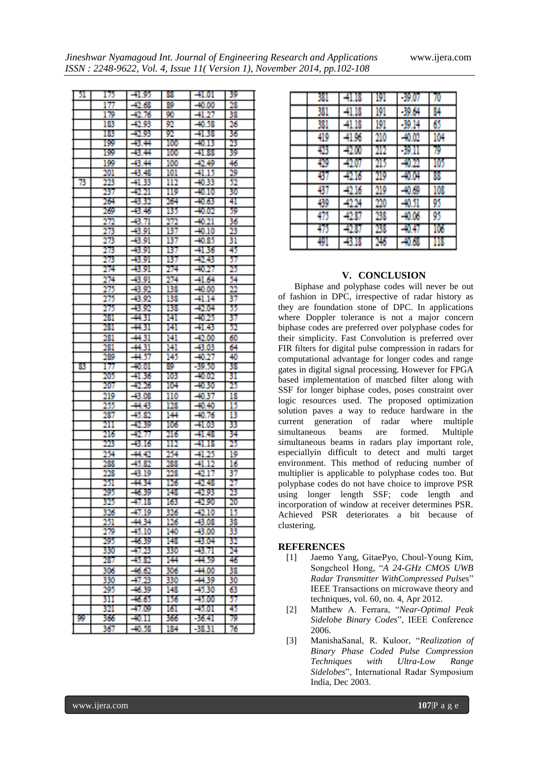*Jineshwar Nyamagoud Int. Journal of Engineering Research and Applications* www.ijera.com

| Jineshwar Nyamagoud Int. Journal of Engineering Research and Applications  |  |  |
|----------------------------------------------------------------------------|--|--|
| $ISSN: 2248-9622, Vol. 4, Issue 11 (Version 1), November 2014, pp.102-108$ |  |  |

| - 51. | 175 | $-41.95$ | 88.  | $-41.01$ | -39 |
|-------|-----|----------|------|----------|-----|
|       | 177 | $-42.68$ | 30   | $-40.00$ | 28  |
|       | 179 | $-42.76$ | 90   | $-41.27$ | 38  |
|       | 183 | $-42.93$ | 92   | $-40.38$ | 26  |
|       | 183 | $-42.93$ | 92.  | $-1.38$  | 36  |
|       | 199 | -43.44   | 100  | $-40.13$ | 23  |
|       | 199 | -8.4     | 100  | -41.88   | 39  |
|       | 199 | -43.44   | 100  | -49.40   | 46  |
|       | 201 | -43.48   | 101  | $-41.15$ | 29  |
| 73    | 223 | $-41.33$ | 112  | -40.33   | 52  |
|       | 237 | $-2.21$  | 119  | $-40.10$ | 30  |
|       | 264 | $-43.32$ | 264  | $-40.63$ | 41  |
|       | 269 | -43.46   | 135. | -40.02   | 59  |
|       | 272 | $-43.71$ | 272  | $-40.21$ | 36  |
|       | 273 | -43.91   | 137  | $-40.10$ | 23  |
|       | 273 | $-43.91$ | 137  | $-40.85$ | 31  |
|       | 273 | -43.91   | 137  | -4136    | 45  |
|       | 273 | -43.91   | 137  | -42.43   | 37  |
|       | 274 | -43.91   | 274  | $-40.27$ | 25  |
|       | 274 | -43.91   | 274  | $-41.64$ | 54  |
|       | 275 | $-43.92$ | 138  | $-40.00$ | 22  |
|       | 275 | $-43.92$ | 138  | $-41.14$ | 37  |
|       | 275 | $-43.92$ | 138  | -42.04   | 35  |
|       | 281 | -44.31   | 141  | $-40.25$ | 37  |
|       | 281 | -44.31   | 141  | -41.43   | 52  |
|       | 281 | $-44.31$ | 141  | $-42.00$ | 60  |
|       | 281 | $-44.31$ | 141  | $-43.03$ | 64  |
|       | 289 | -44.37   | 145  | $-40.27$ | 40  |
| 83    | 177 | $-40.01$ | 39.  | $-39.50$ | 38  |
|       | 205 | $-41.36$ | 103  | $-40.02$ | 31  |
|       | 207 | $-42.26$ | 104  | $-40.30$ | 25  |
|       | 219 | -43.08   | 110  | $-40.37$ | 18  |
|       | 255 | -44.43   | 128  | $-40.40$ | 15  |
|       | 287 | -45.82   | 144  | $-40.76$ | 13  |
|       | 211 | -42.39   | 106  | $-41.03$ | 33  |
|       | 216 | -42.77   | 216  | $-41.48$ | 34  |
|       | 223 | $-43.16$ | 112  | -41.18   | 25  |
|       | 254 | -44.42   | 254  | $-41.25$ | 19  |
|       | 28  | $-45.82$ | 288  | $-41.12$ | 16  |
|       | 228 | -43.19   | 228  | $-42.17$ | 37  |
|       | 251 | -44.34   | 126  | -42.48   | 27  |
|       | 290 | -40.39   | 198  | -42.95   | 23  |
|       | 325 | $-47.18$ | 163  | $-42.90$ | 20  |
|       | 326 | $-47.19$ | 326  | $-42.10$ | 15  |
|       | 251 | -44.34   | 126  | $-43.08$ | 38  |
|       | 29  | $-45.10$ | 140  | $-43,00$ | 33  |
|       | 295 | $-46.39$ | 148  | -43.04   | 32  |
|       | 330 | -4753    | 330  | -43.71   | 24  |
|       | 287 | $-45.82$ | 144  | -44.39   | 46  |
|       | 305 | $-46.62$ | 306  | $-44.00$ | 38  |
|       | 330 | $-47.23$ | 330  | -44.39   | 30  |
|       | 295 | $-46.39$ | 148  | -45.30   | 63  |
|       | 311 | $-46.65$ | 156  | $-45.00$ | 37  |
|       | 321 | -47.09   | 161  | $-45.01$ | 45  |
| 199   | 366 | $-40.11$ | 366  | -36.41   | 79  |
|       | 367 | $-40.38$ | 184  | $-38.31$ | 76  |

| 381 | 18<br>41. | 191 | -39.07   | 70  |
|-----|-----------|-----|----------|-----|
| 381 | -41.18    | 191 | -39.64   | 84  |
| 381 | -41.18    | 191 | $-39.14$ | 65  |
| 419 | 41.96     | 210 | -40.02   | 104 |
| 48  | 42,00     |     | -9.      | Ŋ   |
| 429 | 00        |     | -4022    | 105 |
| 437 | 16        | 219 | -40.04   | N   |
| 437 | 16        | 219 | -40.69   | 108 |
| 439 | 0.X       | 220 | -40.51   | 95  |
| 48  | 42.87     | 28  | -40.06   | 95  |
| 40  | 42,87     | 23  |          | 106 |
| 491 | 低<br>N    | 246 | 168      | 118 |

# **V. CONCLUSION**

Biphase and polyphase codes will never be out of fashion in DPC, irrespective of radar history as they are foundation stone of DPC. In applications where Doppler tolerance is not a major concern biphase codes are preferred over polyphase codes for their simplicity. Fast Convolution is preferred over FIR filters for digital pulse compression in radars for computational advantage for longer codes and range gates in digital signal processing. However for FPGA based implementation of matched filter along with SSF for longer biphase codes, poses constraint over logic resources used. The proposed optimization solution paves a way to reduce hardware in the current generation of radar where multiple simultaneous beams are formed. Multiple simultaneous beams in radars play important role, especiallyin difficult to detect and multi target environment. This method of reducing number of multiplier is applicable to polyphase codes too. But polyphase codes do not have choice to improve PSR using longer length SSF; code length and incorporation of window at receiver determines PSR. Achieved PSR deteriorates a bit because of clustering.

# **REFERENCES**

- [1] Jaemo Yang, GitaePyo, Choul-Young Kim, Songcheol Hong, "*A 24-GHz CMOS UWB Radar Transmitter WithCompressed Pulses*" IEEE Transactions on microwave theory and techniques, vol. 60, no. 4, Apr 2012.
- [2] Matthew A. Ferrara, "*Near-Optimal Peak Sidelobe Binary Codes*", IEEE Conference 2006.
- [3] ManishaSanal, R. Kuloor, "*Realization of Binary Phase Coded Pulse Compression Techniques with Ultra-Low Range Sidelobes*", International Radar Symposium India, Dec 2003.